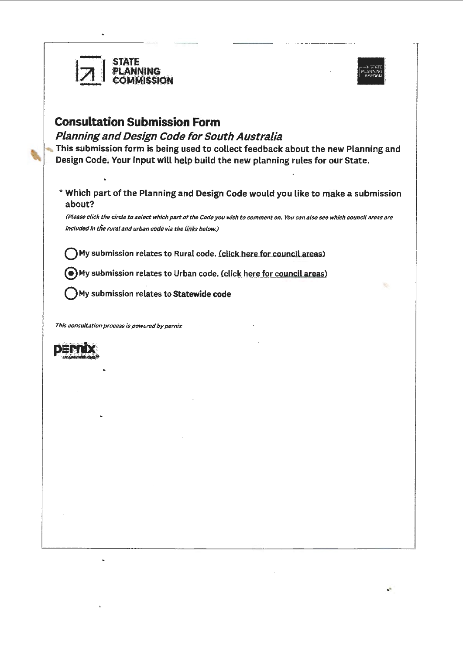



## **Consultation Submission Form**

Planning and Design Code for South Australia

 $HSSION$ 

This submission form is being used to collect feedback about the new Planning and Design Code. Your input will help build the new planning rules for our State.

\* Which part of the Planning and Design Code would you like to make a submission about?

(Please click the circle to select which *part* of the Code you wish to comment on. You can also see which council areas are included in *the* rural and urban code via the links below.}

My submission relates to Rural code. (click here for council areas)

@My submission relates to Urban code. (click here for council areas}

Q My submission relates to **Statewide code** 

*Thls consultation process is powered by pernix* 



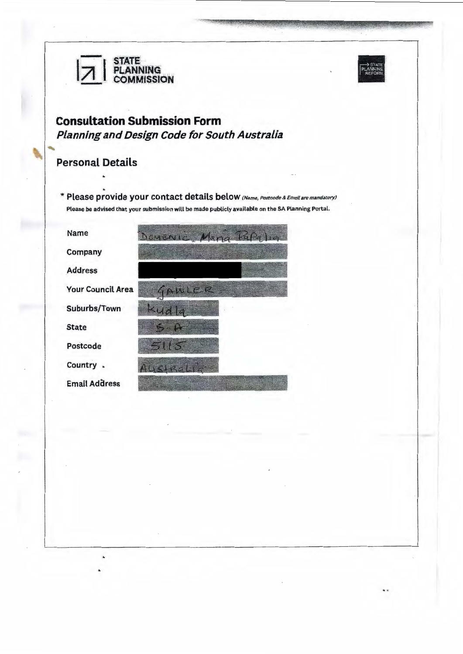



## **Consultation Submission Form** Planning and Design Code for South Australia

## **Personal Details**

\* Please provide your contact details below (Name, Postcode & Email are mandatory) Please be advised that your submission will be made publicly available on the SA Planning Portal.

| Name                     | ARAILE, <i>H</i> aggillida |
|--------------------------|----------------------------|
| Company                  |                            |
| <b>Address</b>           |                            |
| <b>Your Council Area</b> | <b>GRANDER BEAT</b>        |
| Suburbs/Town             |                            |
| <b>State</b>             |                            |
| Postcode                 | <b>And II Birds</b>        |
| Country                  |                            |
| <b>Email Address</b>     |                            |